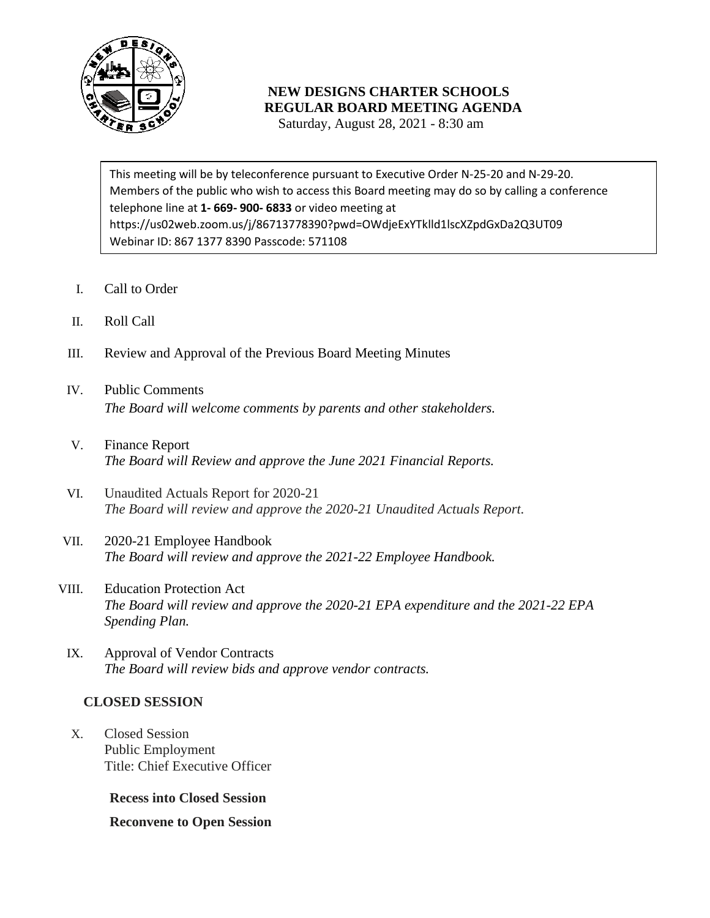

## **NEW DESIGNS CHARTER SCHOOLS REGULAR BOARD MEETING AGENDA**

Saturday, August 28, 2021 - 8:30 am

 Members of the public who wish to access this Board meeting may do so by calling a conference telephone line at **1- 669- 900- 6833** or video meeting at This meeting will be by teleconference pursuant to Executive Order N-25-20 and N-29-20. https://us02web.zoom.us/j/86713778390?pwd=OWdjeExYTklld1lscXZpdGxDa2Q3UT09 Webinar ID: 867 1377 8390 Passcode: 571108

- I. Call to Order
- II. Roll Call
- III. Review and Approval of the Previous Board Meeting Minutes
- IV. Public Comments *The Board will welcome comments by parents and other stakeholders.*
- V. Finance Report *The Board will Review and approve the June 2021 Financial Reports.*
- VI. Unaudited Actuals Report for 2020-21 *The Board will review and approve the 2020-21 Unaudited Actuals Report.*
- VII. 2020-21 Employee Handbook *The Board will review and approve the 2021-22 Employee Handbook.*
- VIII. Education Protection Act *The Board will review and approve the 2020-21 EPA expenditure and the 2021-22 EPA Spending Plan.*
- IX. Approval of Vendor Contracts *The Board will review bids and approve vendor contracts.*

## **CLOSED SESSION**

X. Closed Session Public Employment Title: Chief Executive Officer

**Recess into Closed Session**

**Reconvene to Open Session**